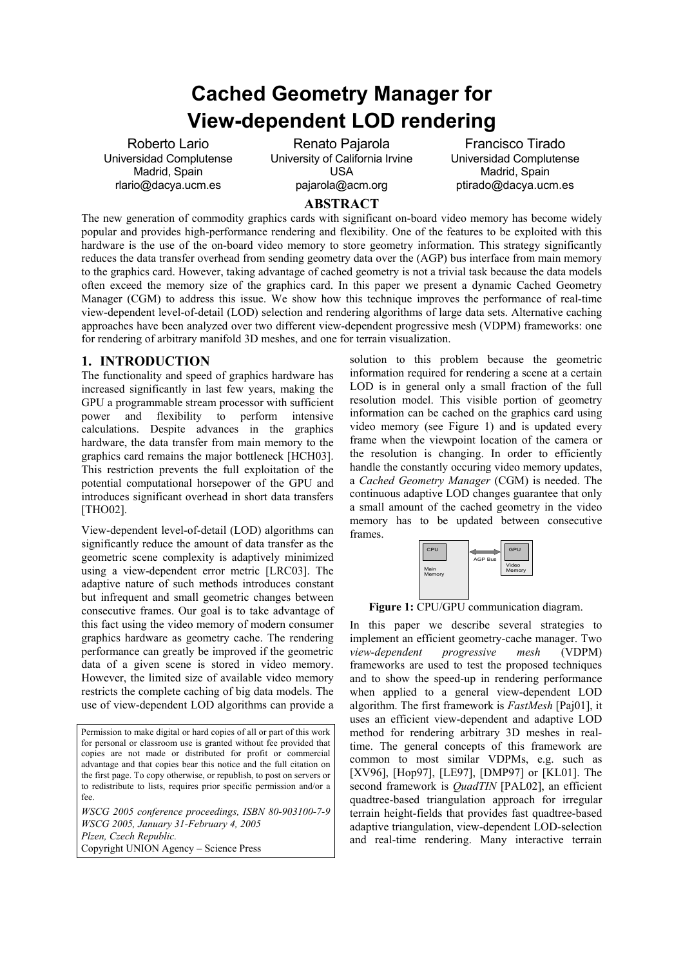# **Cached Geometry Manager for View-dependent LOD rendering**

Roberto Lario Universidad Complutense Madrid, Spain rlario@dacya.ucm.es

Renato Pajarola University of California Irvine USA pajarola@acm.org

Francisco Tirado Universidad Complutense Madrid, Spain ptirado@dacya.ucm.es

# **ABSTRACT**

The new generation of commodity graphics cards with significant on-board video memory has become widely popular and provides high-performance rendering and flexibility. One of the features to be exploited with this hardware is the use of the on-board video memory to store geometry information. This strategy significantly reduces the data transfer overhead from sending geometry data over the (AGP) bus interface from main memory to the graphics card. However, taking advantage of cached geometry is not a trivial task because the data models often exceed the memory size of the graphics card. In this paper we present a dynamic Cached Geometry Manager (CGM) to address this issue. We show how this technique improves the performance of real-time view-dependent level-of-detail (LOD) selection and rendering algorithms of large data sets. Alternative caching approaches have been analyzed over two different view-dependent progressive mesh (VDPM) frameworks: one for rendering of arbitrary manifold 3D meshes, and one for terrain visualization.

## **1. INTRODUCTION**

The functionality and speed of graphics hardware has increased significantly in last few years, making the GPU a programmable stream processor with sufficient power and flexibility to perform intensive calculations. Despite advances in the graphics hardware, the data transfer from main memory to the graphics card remains the major bottleneck [HCH03]. This restriction prevents the full exploitation of the potential computational horsepower of the GPU and introduces significant overhead in short data transfers [THO02].

View-dependent level-of-detail (LOD) algorithms can significantly reduce the amount of data transfer as the geometric scene complexity is adaptively minimized using a view-dependent error metric [LRC03]. The adaptive nature of such methods introduces constant but infrequent and small geometric changes between consecutive frames. Our goal is to take advantage of this fact using the video memory of modern consumer graphics hardware as geometry cache. The rendering performance can greatly be improved if the geometric data of a given scene is stored in video memory. However, the limited size of available video memory restricts the complete caching of big data models. The use of view-dependent LOD algorithms can provide a

Permission to make digital or hard copies of all or part of this work for personal or classroom use is granted without fee provided that copies are not made or distributed for profit or commercial advantage and that copies bear this notice and the full citation on the first page. To copy otherwise, or republish, to post on servers or to redistribute to lists, requires prior specific permission and/or a fee.

*WSCG 2005 conference proceedings, ISBN 80-903100-7-9 WSCG 2005, January 31-February 4, 2005 Plzen, Czech Republic.*  Copyright UNION Agency – Science Press

solution to this problem because the geometric information required for rendering a scene at a certain LOD is in general only a small fraction of the full resolution model. This visible portion of geometry information can be cached on the graphics card using video memory (see Figure 1) and is updated every frame when the viewpoint location of the camera or the resolution is changing. In order to efficiently handle the constantly occuring video memory updates, a *Cached Geometry Manager* (CGM) is needed. The continuous adaptive LOD changes guarantee that only a small amount of the cached geometry in the video memory has to be updated between consecutive frames.



Figure 1: CPU/GPU communication diagram.

In this paper we describe several strategies to implement an efficient geometry-cache manager. Two *view-dependent progressive mesh* (VDPM) frameworks are used to test the proposed techniques and to show the speed-up in rendering performance when applied to a general view-dependent LOD algorithm. The first framework is *FastMesh* [Paj01], it uses an efficient view-dependent and adaptive LOD method for rendering arbitrary 3D meshes in realtime. The general concepts of this framework are common to most similar VDPMs, e.g. such as [XV96], [Hop97], [LE97], [DMP97] or [KL01]. The second framework is *QuadTIN* [PAL02], an efficient quadtree-based triangulation approach for irregular terrain height-fields that provides fast quadtree-based adaptive triangulation, view-dependent LOD-selection and real-time rendering. Many interactive terrain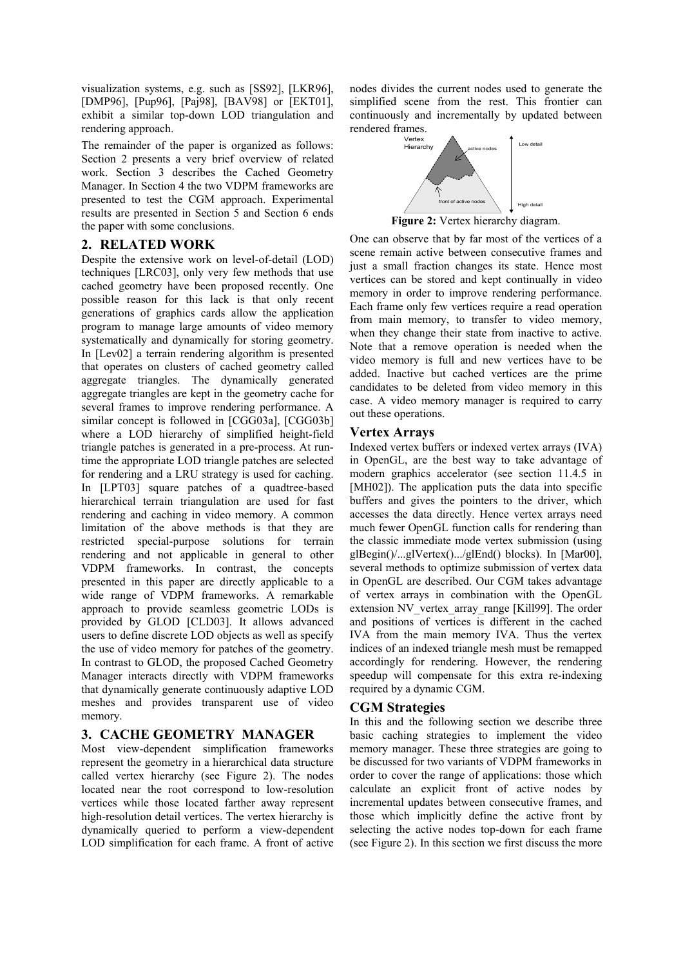visualization systems, e.g. such as [SS92], [LKR96], [DMP96], [Pup96], [Paj98], [BAV98] or [EKT01], exhibit a similar top-down LOD triangulation and rendering approach.

The remainder of the paper is organized as follows: Section 2 presents a very brief overview of related work. Section 3 describes the Cached Geometry Manager. In Section 4 the two VDPM frameworks are presented to test the CGM approach. Experimental results are presented in Section 5 and Section 6 ends the paper with some conclusions.

## **2. RELATED WORK**

Despite the extensive work on level-of-detail (LOD) techniques [LRC03], only very few methods that use cached geometry have been proposed recently. One possible reason for this lack is that only recent generations of graphics cards allow the application program to manage large amounts of video memory systematically and dynamically for storing geometry. In [Lev02] a terrain rendering algorithm is presented that operates on clusters of cached geometry called aggregate triangles. The dynamically generated aggregate triangles are kept in the geometry cache for several frames to improve rendering performance. A similar concept is followed in [CGG03a], [CGG03b] where a LOD hierarchy of simplified height-field triangle patches is generated in a pre-process. At runtime the appropriate LOD triangle patches are selected for rendering and a LRU strategy is used for caching. In [LPT03] square patches of a quadtree-based hierarchical terrain triangulation are used for fast rendering and caching in video memory. A common limitation of the above methods is that they are restricted special-purpose solutions for terrain rendering and not applicable in general to other VDPM frameworks. In contrast, the concepts presented in this paper are directly applicable to a wide range of VDPM frameworks. A remarkable approach to provide seamless geometric LODs is provided by GLOD [CLD03]. It allows advanced users to define discrete LOD objects as well as specify the use of video memory for patches of the geometry. In contrast to GLOD, the proposed Cached Geometry Manager interacts directly with VDPM frameworks that dynamically generate continuously adaptive LOD meshes and provides transparent use of video memory.

# **3. CACHE GEOMETRY MANAGER**

Most view-dependent simplification frameworks represent the geometry in a hierarchical data structure called vertex hierarchy (see Figure 2). The nodes located near the root correspond to low-resolution vertices while those located farther away represent high-resolution detail vertices. The vertex hierarchy is dynamically queried to perform a view-dependent LOD simplification for each frame. A front of active

nodes divides the current nodes used to generate the simplified scene from the rest. This frontier can continuously and incrementally by updated between rendered frames.



**Figure 2:** Vertex hierarchy diagram.

One can observe that by far most of the vertices of a scene remain active between consecutive frames and just a small fraction changes its state. Hence most vertices can be stored and kept continually in video memory in order to improve rendering performance. Each frame only few vertices require a read operation from main memory, to transfer to video memory, when they change their state from inactive to active. Note that a remove operation is needed when the video memory is full and new vertices have to be added. Inactive but cached vertices are the prime candidates to be deleted from video memory in this case. A video memory manager is required to carry out these operations.

# **Vertex Arrays**

Indexed vertex buffers or indexed vertex arrays (IVA) in OpenGL, are the best way to take advantage of modern graphics accelerator (see section 11.4.5 in [MH02]). The application puts the data into specific buffers and gives the pointers to the driver, which accesses the data directly. Hence vertex arrays need much fewer OpenGL function calls for rendering than the classic immediate mode vertex submission (using glBegin()/...glVertex().../glEnd() blocks). In [Mar00], several methods to optimize submission of vertex data in OpenGL are described. Our CGM takes advantage of vertex arrays in combination with the OpenGL extension NV\_vertex\_array\_range [Kill99]. The order and positions of vertices is different in the cached IVA from the main memory IVA. Thus the vertex indices of an indexed triangle mesh must be remapped accordingly for rendering. However, the rendering speedup will compensate for this extra re-indexing required by a dynamic CGM.

# **CGM Strategies**

In this and the following section we describe three basic caching strategies to implement the video memory manager. These three strategies are going to be discussed for two variants of VDPM frameworks in order to cover the range of applications: those which calculate an explicit front of active nodes by incremental updates between consecutive frames, and those which implicitly define the active front by selecting the active nodes top-down for each frame (see Figure 2). In this section we first discuss the more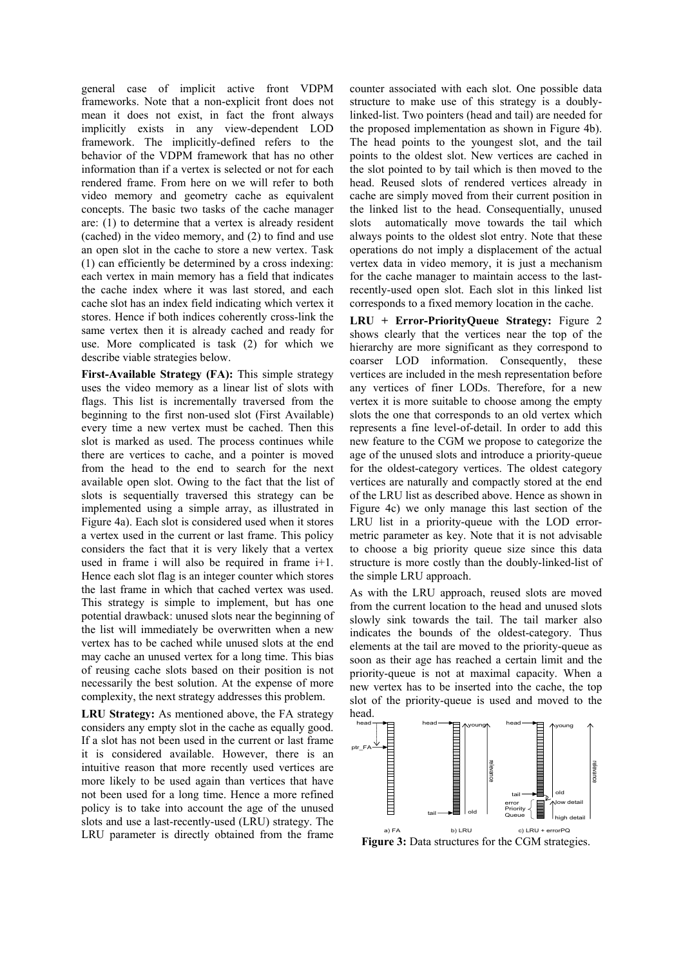general case of implicit active front VDPM frameworks. Note that a non-explicit front does not mean it does not exist, in fact the front always implicitly exists in any view-dependent LOD framework. The implicitly-defined refers to the behavior of the VDPM framework that has no other information than if a vertex is selected or not for each rendered frame. From here on we will refer to both video memory and geometry cache as equivalent concepts. The basic two tasks of the cache manager are: (1) to determine that a vertex is already resident (cached) in the video memory, and (2) to find and use an open slot in the cache to store a new vertex. Task (1) can efficiently be determined by a cross indexing: each vertex in main memory has a field that indicates the cache index where it was last stored, and each cache slot has an index field indicating which vertex it stores. Hence if both indices coherently cross-link the same vertex then it is already cached and ready for use. More complicated is task (2) for which we describe viable strategies below.

**First-Available Strategy (FA):** This simple strategy uses the video memory as a linear list of slots with flags. This list is incrementally traversed from the beginning to the first non-used slot (First Available) every time a new vertex must be cached. Then this slot is marked as used. The process continues while there are vertices to cache, and a pointer is moved from the head to the end to search for the next available open slot. Owing to the fact that the list of slots is sequentially traversed this strategy can be implemented using a simple array, as illustrated in Figure 4a). Each slot is considered used when it stores a vertex used in the current or last frame. This policy considers the fact that it is very likely that a vertex used in frame i will also be required in frame i+1. Hence each slot flag is an integer counter which stores the last frame in which that cached vertex was used. This strategy is simple to implement, but has one potential drawback: unused slots near the beginning of the list will immediately be overwritten when a new vertex has to be cached while unused slots at the end may cache an unused vertex for a long time. This bias of reusing cache slots based on their position is not necessarily the best solution. At the expense of more complexity, the next strategy addresses this problem.

**LRU Strategy:** As mentioned above, the FA strategy considers any empty slot in the cache as equally good. If a slot has not been used in the current or last frame it is considered available. However, there is an intuitive reason that more recently used vertices are more likely to be used again than vertices that have not been used for a long time. Hence a more refined policy is to take into account the age of the unused slots and use a last-recently-used (LRU) strategy. The LRU parameter is directly obtained from the frame

counter associated with each slot. One possible data structure to make use of this strategy is a doublylinked-list. Two pointers (head and tail) are needed for the proposed implementation as shown in Figure 4b). The head points to the youngest slot, and the tail points to the oldest slot. New vertices are cached in the slot pointed to by tail which is then moved to the head. Reused slots of rendered vertices already in cache are simply moved from their current position in the linked list to the head. Consequentially, unused slots automatically move towards the tail which always points to the oldest slot entry. Note that these operations do not imply a displacement of the actual vertex data in video memory, it is just a mechanism for the cache manager to maintain access to the lastrecently-used open slot. Each slot in this linked list corresponds to a fixed memory location in the cache.

**LRU + Error-PriorityQueue Strategy:** Figure 2 shows clearly that the vertices near the top of the hierarchy are more significant as they correspond to coarser LOD information. Consequently, these vertices are included in the mesh representation before any vertices of finer LODs. Therefore, for a new vertex it is more suitable to choose among the empty slots the one that corresponds to an old vertex which represents a fine level-of-detail. In order to add this new feature to the CGM we propose to categorize the age of the unused slots and introduce a priority-queue for the oldest-category vertices. The oldest category vertices are naturally and compactly stored at the end of the LRU list as described above. Hence as shown in Figure 4c) we only manage this last section of the LRU list in a priority-queue with the LOD errormetric parameter as key. Note that it is not advisable to choose a big priority queue size since this data structure is more costly than the doubly-linked-list of the simple LRU approach.

As with the LRU approach, reused slots are moved from the current location to the head and unused slots slowly sink towards the tail. The tail marker also indicates the bounds of the oldest-category. Thus elements at the tail are moved to the priority-queue as soon as their age has reached a certain limit and the priority-queue is not at maximal capacity. When a new vertex has to be inserted into the cache, the top slot of the priority-queue is used and moved to the head.



Figure 3: Data structures for the CGM strategies.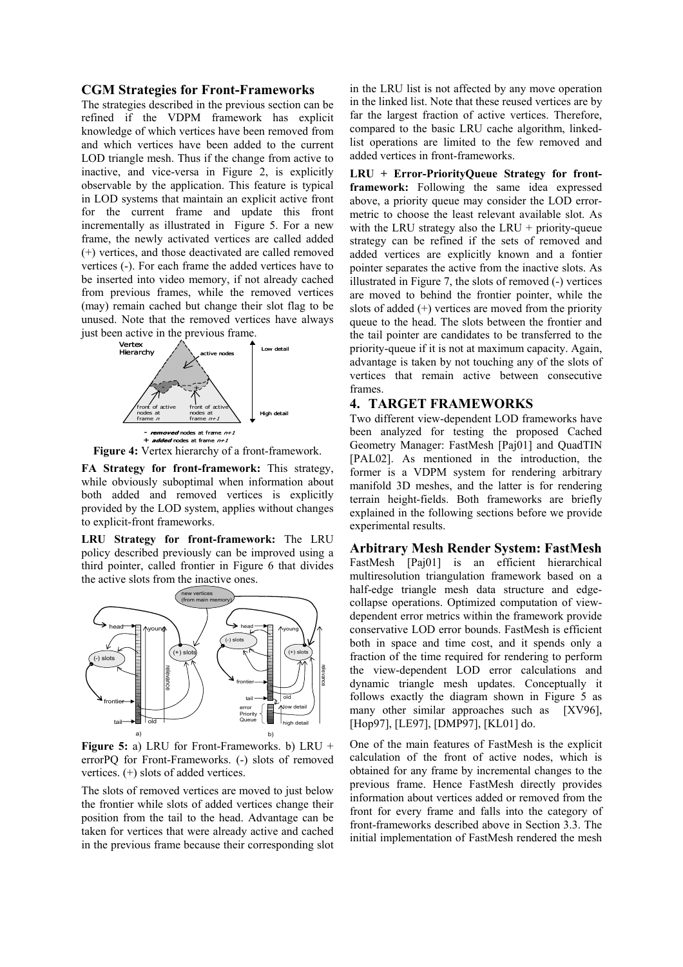#### **CGM Strategies for Front-Frameworks**

The strategies described in the previous section can be refined if the VDPM framework has explicit knowledge of which vertices have been removed from and which vertices have been added to the current LOD triangle mesh. Thus if the change from active to inactive, and vice-versa in Figure 2, is explicitly observable by the application. This feature is typical in LOD systems that maintain an explicit active front for the current frame and update this front incrementally as illustrated in Figure 5. For a new frame, the newly activated vertices are called added (+) vertices, and those deactivated are called removed vertices (-). For each frame the added vertices have to be inserted into video memory, if not already cached from previous frames, while the removed vertices (may) remain cached but change their slot flag to be unused. Note that the removed vertices have always just been active in the previous frame.



**Figure 4:** Vertex hierarchy of a front-framework.

**FA Strategy for front-framework:** This strategy, while obviously suboptimal when information about both added and removed vertices is explicitly provided by the LOD system, applies without changes to explicit-front frameworks.

**LRU Strategy for front-framework:** The LRU policy described previously can be improved using a third pointer, called frontier in Figure 6 that divides the active slots from the inactive ones.



**Figure 5:** a) LRU for Front-Frameworks. b) LRU + errorPQ for Front-Frameworks. (-) slots of removed vertices. (+) slots of added vertices.

The slots of removed vertices are moved to just below the frontier while slots of added vertices change their position from the tail to the head. Advantage can be taken for vertices that were already active and cached in the previous frame because their corresponding slot

in the LRU list is not affected by any move operation in the linked list. Note that these reused vertices are by far the largest fraction of active vertices. Therefore, compared to the basic LRU cache algorithm, linkedlist operations are limited to the few removed and added vertices in front-frameworks.

**LRU + Error-PriorityQueue Strategy for frontframework:** Following the same idea expressed above, a priority queue may consider the LOD errormetric to choose the least relevant available slot. As with the LRU strategy also the LRU + priority-queue strategy can be refined if the sets of removed and added vertices are explicitly known and a fontier pointer separates the active from the inactive slots. As illustrated in Figure 7, the slots of removed (-) vertices are moved to behind the frontier pointer, while the slots of added  $(+)$  vertices are moved from the priority queue to the head. The slots between the frontier and the tail pointer are candidates to be transferred to the priority-queue if it is not at maximum capacity. Again, advantage is taken by not touching any of the slots of vertices that remain active between consecutive frames.

## **4. TARGET FRAMEWORKS**

Two different view-dependent LOD frameworks have been analyzed for testing the proposed Cached Geometry Manager: FastMesh [Paj01] and QuadTIN [PAL02]. As mentioned in the introduction, the former is a VDPM system for rendering arbitrary manifold 3D meshes, and the latter is for rendering terrain height-fields. Both frameworks are briefly explained in the following sections before we provide experimental results.

**Arbitrary Mesh Render System: FastMesh**  FastMesh [Paj01] is an efficient hierarchical multiresolution triangulation framework based on a half-edge triangle mesh data structure and edgecollapse operations. Optimized computation of viewdependent error metrics within the framework provide conservative LOD error bounds. FastMesh is efficient both in space and time cost, and it spends only a fraction of the time required for rendering to perform the view-dependent LOD error calculations and dynamic triangle mesh updates. Conceptually it follows exactly the diagram shown in Figure 5 as many other similar approaches such as [XV96], [Hop97], [LE97], [DMP97], [KL01] do.

One of the main features of FastMesh is the explicit calculation of the front of active nodes, which is obtained for any frame by incremental changes to the previous frame. Hence FastMesh directly provides information about vertices added or removed from the front for every frame and falls into the category of front-frameworks described above in Section 3.3. The initial implementation of FastMesh rendered the mesh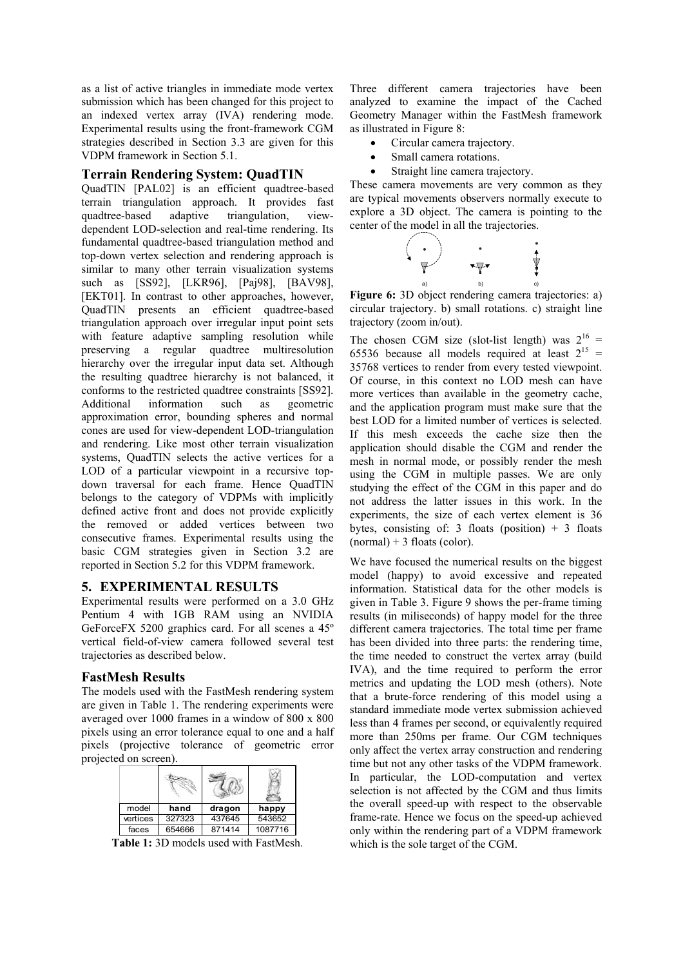as a list of active triangles in immediate mode vertex submission which has been changed for this project to an indexed vertex array (IVA) rendering mode. Experimental results using the front-framework CGM strategies described in Section 3.3 are given for this VDPM framework in Section 5.1.

## **Terrain Rendering System: QuadTIN**

QuadTIN [PAL02] is an efficient quadtree-based terrain triangulation approach. It provides fast quadtree-based adaptive triangulation, viewdependent LOD-selection and real-time rendering. Its fundamental quadtree-based triangulation method and top-down vertex selection and rendering approach is similar to many other terrain visualization systems such as [SS92], [LKR96], [Paj98], [BAV98], [EKT01]. In contrast to other approaches, however, QuadTIN presents an efficient quadtree-based triangulation approach over irregular input point sets with feature adaptive sampling resolution while preserving a regular quadtree multiresolution hierarchy over the irregular input data set. Although the resulting quadtree hierarchy is not balanced, it conforms to the restricted quadtree constraints [SS92]. Additional information such as geometric approximation error, bounding spheres and normal cones are used for view-dependent LOD-triangulation and rendering. Like most other terrain visualization systems, QuadTIN selects the active vertices for a LOD of a particular viewpoint in a recursive topdown traversal for each frame. Hence QuadTIN belongs to the category of VDPMs with implicitly defined active front and does not provide explicitly the removed or added vertices between two consecutive frames. Experimental results using the basic CGM strategies given in Section 3.2 are reported in Section 5.2 for this VDPM framework.

## **5. EXPERIMENTAL RESULTS**

Experimental results were performed on a 3.0 GHz Pentium 4 with 1GB RAM using an NVIDIA GeForceFX 5200 graphics card. For all scenes a 45º vertical field-of-view camera followed several test trajectories as described below.

## **FastMesh Results**

The models used with the FastMesh rendering system are given in Table 1. The rendering experiments were averaged over 1000 frames in a window of 800 x 800 pixels using an error tolerance equal to one and a half pixels (projective tolerance of geometric error projected on screen).

| model    | hand   | dragon | happy   |
|----------|--------|--------|---------|
| vertices | 327323 | 437645 | 543652  |
| faces    | 654666 | 871414 | 1087716 |

**Table 1:** 3D models used with FastMesh.

Three different camera trajectories have been analyzed to examine the impact of the Cached Geometry Manager within the FastMesh framework as illustrated in Figure 8:

- Circular camera trajectory.
- Small camera rotations.
- Straight line camera trajectory.

These camera movements are very common as they are typical movements observers normally execute to explore a 3D object. The camera is pointing to the center of the model in all the trajectories.



**Figure 6:** 3D object rendering camera trajectories: a) circular trajectory. b) small rotations. c) straight line trajectory (zoom in/out).

The chosen CGM size (slot-list length) was  $2^{16}$  = 65536 because all models required at least  $2^{15}$  = 35768 vertices to render from every tested viewpoint. Of course, in this context no LOD mesh can have more vertices than available in the geometry cache, and the application program must make sure that the best LOD for a limited number of vertices is selected. If this mesh exceeds the cache size then the application should disable the CGM and render the mesh in normal mode, or possibly render the mesh using the CGM in multiple passes. We are only studying the effect of the CGM in this paper and do not address the latter issues in this work. In the experiments, the size of each vertex element is 36 bytes, consisting of: 3 floats (position)  $+$  3 floats  $(normal) + 3$  floats (color).

We have focused the numerical results on the biggest model (happy) to avoid excessive and repeated information. Statistical data for the other models is given in Table 3. Figure 9 shows the per-frame timing results (in miliseconds) of happy model for the three different camera trajectories. The total time per frame has been divided into three parts: the rendering time, the time needed to construct the vertex array (build IVA), and the time required to perform the error metrics and updating the LOD mesh (others). Note that a brute-force rendering of this model using a standard immediate mode vertex submission achieved less than 4 frames per second, or equivalently required more than 250ms per frame. Our CGM techniques only affect the vertex array construction and rendering time but not any other tasks of the VDPM framework. In particular, the LOD-computation and vertex selection is not affected by the CGM and thus limits the overall speed-up with respect to the observable frame-rate. Hence we focus on the speed-up achieved only within the rendering part of a VDPM framework which is the sole target of the CGM.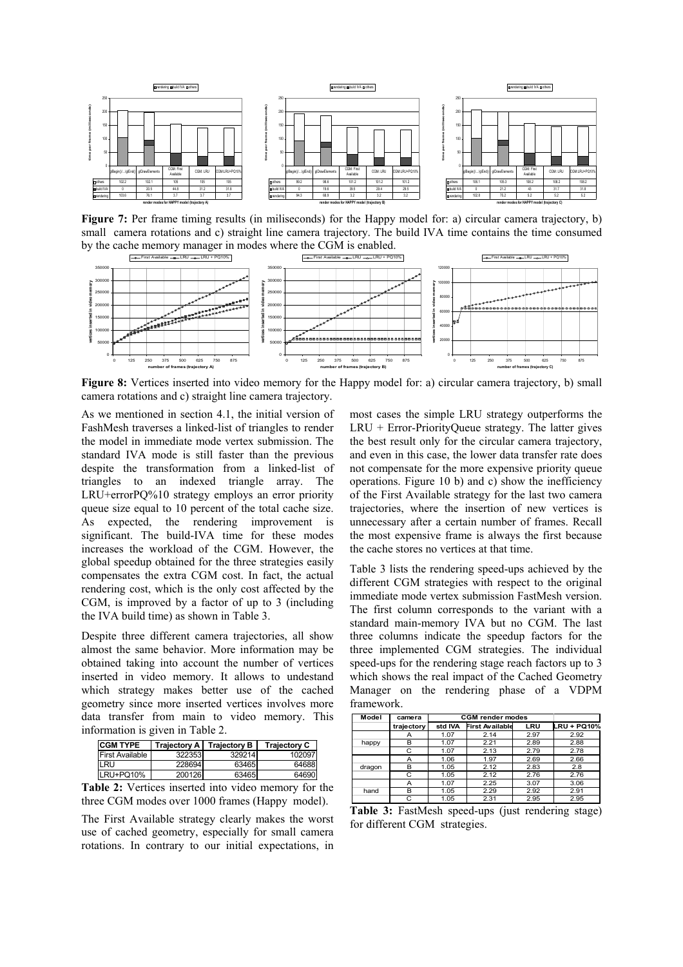

**Figure 7:** Per frame timing results (in miliseconds) for the Happy model for: a) circular camera trajectory, b) small camera rotations and c) straight line camera trajectory. The build IVA time contains the time consumed by the cache memory manager in modes where the CGM is enabled.



**Figure 8:** Vertices inserted into video memory for the Happy model for: a) circular camera trajectory, b) small camera rotations and c) straight line camera trajectory.

As we mentioned in section 4.1, the initial version of FashMesh traverses a linked-list of triangles to render the model in immediate mode vertex submission. The standard IVA mode is still faster than the previous despite the transformation from a linked-list of triangles to an indexed triangle array. The LRU+errorPQ%10 strategy employs an error priority queue size equal to 10 percent of the total cache size. As expected, the rendering improvement is significant. The build-IVA time for these modes increases the workload of the CGM. However, the global speedup obtained for the three strategies easily compensates the extra CGM cost. In fact, the actual rendering cost, which is the only cost affected by the CGM, is improved by a factor of up to 3 (including the IVA build time) as shown in Table 3.

Despite three different camera trajectories, all show almost the same behavior. More information may be obtained taking into account the number of vertices inserted in video memory. It allows to undestand which strategy makes better use of the cached geometry since more inserted vertices involves more data transfer from main to video memory. This information is given in Table 2.

| <b>CGM TYPE</b>        |        | Trajectory A   Trajectory B | <b>Trajectory C</b> |
|------------------------|--------|-----------------------------|---------------------|
| <b>First Available</b> | 322353 | 329214                      | 102097              |
| LRU                    | 228694 | 63465                       | 64688               |
| LRU+PQ10%              | 200126 | 63465                       | 64690               |

**Table 2:** Vertices inserted into video memory for the three CGM modes over 1000 frames (Happy model).

The First Available strategy clearly makes the worst use of cached geometry, especially for small camera rotations. In contrary to our initial expectations, in

most cases the simple LRU strategy outperforms the LRU + Error-PriorityQueue strategy. The latter gives the best result only for the circular camera trajectory, and even in this case, the lower data transfer rate does not compensate for the more expensive priority queue operations. Figure 10 b) and c) show the inefficiency of the First Available strategy for the last two camera trajectories, where the insertion of new vertices is unnecessary after a certain number of frames. Recall the most expensive frame is always the first because the cache stores no vertices at that time.

Table 3 lists the rendering speed-ups achieved by the different CGM strategies with respect to the original immediate mode vertex submission FastMesh version. The first column corresponds to the variant with a standard main-memory IVA but no CGM. The last three columns indicate the speedup factors for the three implemented CGM strategies. The individual speed-ups for the rendering stage reach factors up to 3 which shows the real impact of the Cached Geometry Manager on the rendering phase of a VDPM framework.

| Model  | camera     | <b>CGM</b> render modes |                        |      |                    |
|--------|------------|-------------------------|------------------------|------|--------------------|
|        | trajectory | std IVA                 | <b>First Available</b> | LRU  | <b>LRU + PQ10%</b> |
| happy  |            | 1.07                    | 2.14                   | 2.97 | 2.92               |
|        | B          | 1.07                    | 2.21                   | 2.89 | 2.88               |
|        | C          | 1.07                    | 2.13                   | 2.79 | 2.78               |
|        | А          | 1.06                    | 1.97                   | 2.69 | 2.66               |
| dragon | B          | 1.05                    | 2.12                   | 2.83 | 2.8                |
|        | C          | 1.05                    | 2.12                   | 2.76 | 2.76               |
| hand   | А          | 1.07                    | 2.25                   | 3.07 | 3.06               |
|        | B          | 1.05                    | 2.29                   | 2.92 | 2.91               |
|        | С          | 1.05                    | 2.31                   | 2.95 | 2.95               |

**Table 3:** FastMesh speed-ups (just rendering stage) for different CGM strategies.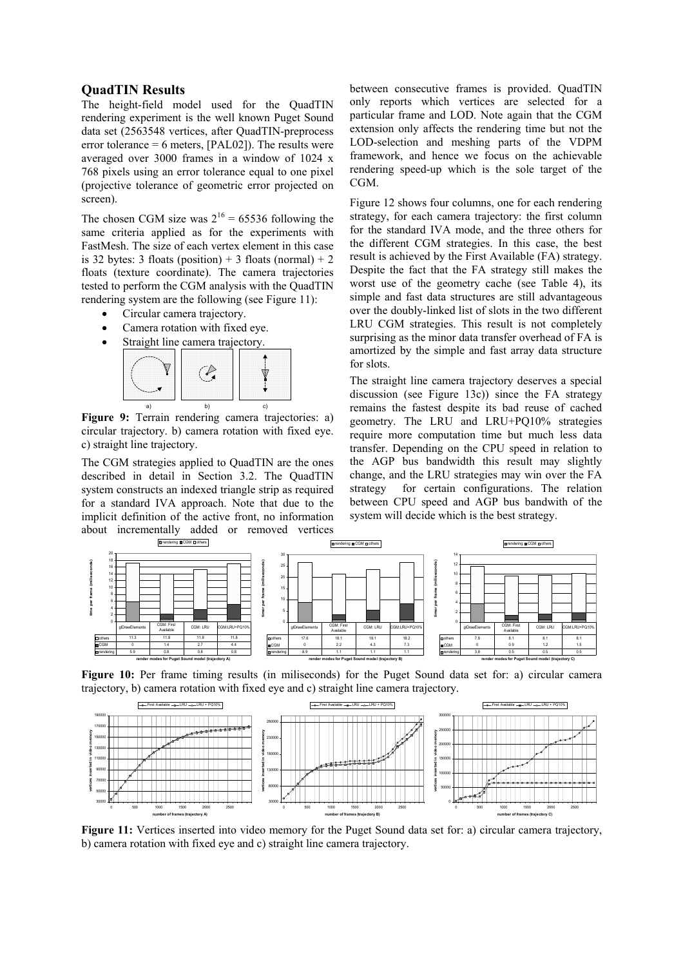#### **QuadTIN Results**

The height-field model used for the QuadTIN rendering experiment is the well known Puget Sound data set (2563548 vertices, after QuadTIN-preprocess error tolerance = 6 meters,  $[PAL02]$ ). The results were averaged over 3000 frames in a window of 1024 x 768 pixels using an error tolerance equal to one pixel (projective tolerance of geometric error projected on screen).

The chosen CGM size was  $2^{16} = 65536$  following the same criteria applied as for the experiments with FastMesh. The size of each vertex element in this case is 32 bytes: 3 floats (position) + 3 floats (normal) + 2 floats (texture coordinate). The camera trajectories tested to perform the CGM analysis with the QuadTIN rendering system are the following (see Figure 11):

- Circular camera trajectory.
- Camera rotation with fixed eye.
- Straight line camera trajectory.



**Figure 9:** Terrain rendering camera trajectories: a) circular trajectory. b) camera rotation with fixed eye. c) straight line trajectory.

The CGM strategies applied to QuadTIN are the ones described in detail in Section 3.2. The QuadTIN system constructs an indexed triangle strip as required for a standard IVA approach. Note that due to the implicit definition of the active front, no information about incrementally added or removed vertices between consecutive frames is provided. QuadTIN only reports which vertices are selected for a particular frame and LOD. Note again that the CGM extension only affects the rendering time but not the LOD-selection and meshing parts of the VDPM framework, and hence we focus on the achievable rendering speed-up which is the sole target of the CGM.

Figure 12 shows four columns, one for each rendering strategy, for each camera trajectory: the first column for the standard IVA mode, and the three others for the different CGM strategies. In this case, the best result is achieved by the First Available (FA) strategy. Despite the fact that the FA strategy still makes the worst use of the geometry cache (see Table 4), its simple and fast data structures are still advantageous over the doubly-linked list of slots in the two different LRU CGM strategies. This result is not completely surprising as the minor data transfer overhead of FA is amortized by the simple and fast array data structure for slots.

The straight line camera trajectory deserves a special discussion (see Figure 13c)) since the FA strategy remains the fastest despite its bad reuse of cached geometry. The LRU and LRU+PQ10% strategies require more computation time but much less data transfer. Depending on the CPU speed in relation to the AGP bus bandwidth this result may slightly change, and the LRU strategies may win over the FA strategy for certain configurations. The relation between CPU speed and AGP bus bandwith of the system will decide which is the best strategy.



Figure 10: Per frame timing results (in miliseconds) for the Puget Sound data set for: a) circular camera trajectory, b) camera rotation with fixed eye and c) straight line camera trajectory.



**Figure 11:** Vertices inserted into video memory for the Puget Sound data set for: a) circular camera trajectory, b) camera rotation with fixed eye and c) straight line camera trajectory.